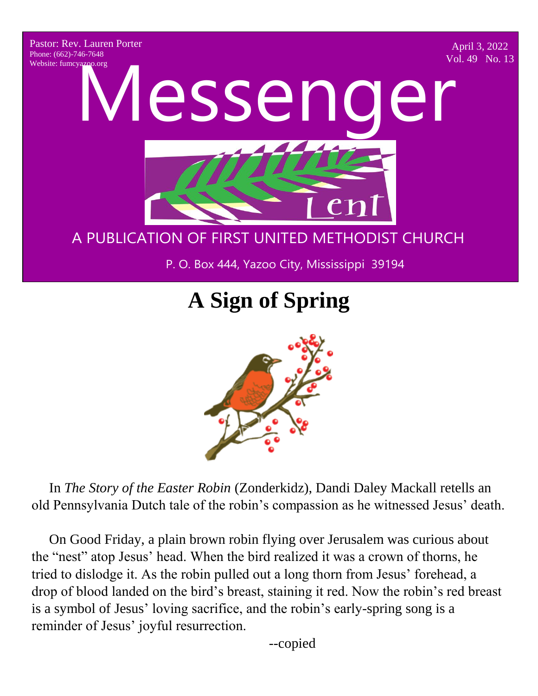Pastor: Rev. Lauren Porter Phone: (662)-746-7648 Website: fumcyazoo.org

April 3, 2022 Vol. 49 No. 13

A PUBLICATION OF FIRST UNITED METHODS P. O. Box 444, Yazoo City, Mississippi 39194 Website: funncy apporting Messenger A PUBLIC CHURCH CONTROL CONTROL CONTROL NOT P. O. Box 444, Yazoo City, Mississippi 39194

## A PUBLICATION OF FIRST UNITED METHODIST CHURCH

P. O. Box 444, Yazoo City, Mississippi 39194

# **A Sign of Spring**



 In *The Story of the Easter Robin* (Zonderkidz), Dandi Daley Mackall retells an old Pennsylvania Dutch tale of the robin's compassion as he witnessed Jesus' death.

 On Good Friday, a plain brown robin flying over Jerusalem was curious about the "nest" atop Jesus' head. When the bird realized it was a crown of thorns, he tried to dislodge it. As the robin pulled out a long thorn from Jesus' forehead, a drop of blood landed on the bird's breast, staining it red. Now the robin's red breast is a symbol of Jesus' loving sacrifice, and the robin's early-spring song is a reminder of Jesus' joyful resurrection.

 $-copied$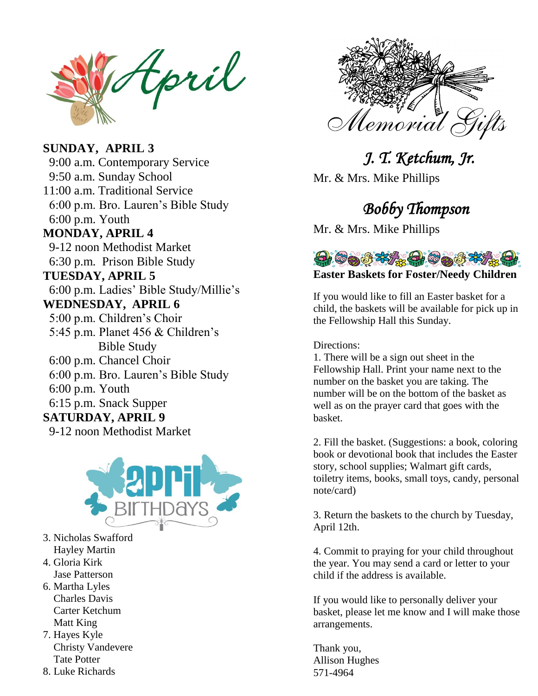tpril

#### **SUNDAY, APRIL 3**

 9:00 a.m. Contemporary Service 9:50 a.m. Sunday School 11:00 a.m. Traditional Service 6:00 p.m. Bro. Lauren's Bible Study 6:00 p.m. Youth **MONDAY, APRIL 4** 9-12 noon Methodist Market 6:30 p.m. Prison Bible Study **TUESDAY, APRIL 5** 6:00 p.m. Ladies' Bible Study/Millie's **WEDNESDAY, APRIL 6** 5:00 p.m. Children's Choir 5:45 p.m. Planet 456 & Children's Bible Study 6:00 p.m. Chancel Choir 6:00 p.m. Bro. Lauren's Bible Study 6:00 p.m. Youth 6:15 p.m. Snack Supper **SATURDAY, APRIL 9** 9-12 noon Methodist Market



- 3. Nicholas Swafford Hayley Martin
- 4. Gloria Kirk
- Jase Patterson 6. Martha Lyles
- Charles Davis Carter Ketchum Matt King
- 7. Hayes Kyle Christy Vandevere Tate Potter
- 8. Luke Richards



 *J. T. Ketchum, Jr.*  Mr. & Mrs. Mike Phillips

## *Bobby Thompson*

Mr. & Mrs. Mike Phillips



If you would like to fill an Easter basket for a child, the baskets will be available for pick up in the Fellowship Hall this Sunday.

Directions:

1. There will be a sign out sheet in the Fellowship Hall. Print your name next to the number on the basket you are taking. The number will be on the bottom of the basket as well as on the prayer card that goes with the basket.

2. Fill the basket. (Suggestions: a book, coloring book or devotional book that includes the Easter story, school supplies; Walmart gift cards, toiletry items, books, small toys, candy, personal note/card)

3. Return the baskets to the church by Tuesday, April 12th.

4. Commit to praying for your child throughout the year. You may send a card or letter to your child if the address is available.

If you would like to personally deliver your basket, please let me know and I will make those arrangements.

Thank you, Allison Hughes 571-4964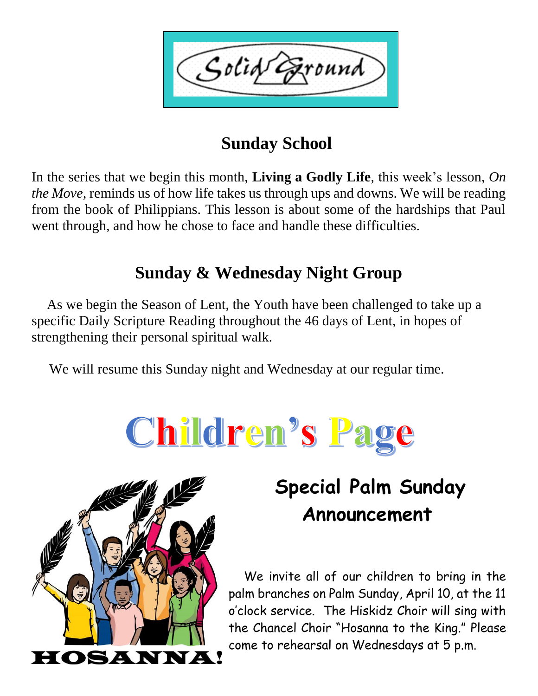Solid Ground

# **Sunday School**

In the series that we begin this month, **Living a Godly Life**, this week's lesson, *On the Move,* reminds us of how life takes us through ups and downs. We will be reading from the book of Philippians. This lesson is about some of the hardships that Paul went through, and how he chose to face and handle these difficulties.

# **Sunday & Wednesday Night Group**

 As we begin the Season of Lent, the Youth have been challenged to take up a specific Daily Scripture Reading throughout the 46 days of Lent, in hopes of strengthening their personal spiritual walk.

We will resume this Sunday night and Wednesday at our regular time.





# **Special Palm Sunday Announcement**

 We invite all of our children to bring in the palm branches on Palm Sunday, April 10, at the 11 o'clock service. The Hiskidz Choir will sing with the Chancel Choir "Hosanna to the King." Please come to rehearsal on Wednesdays at 5 p.m.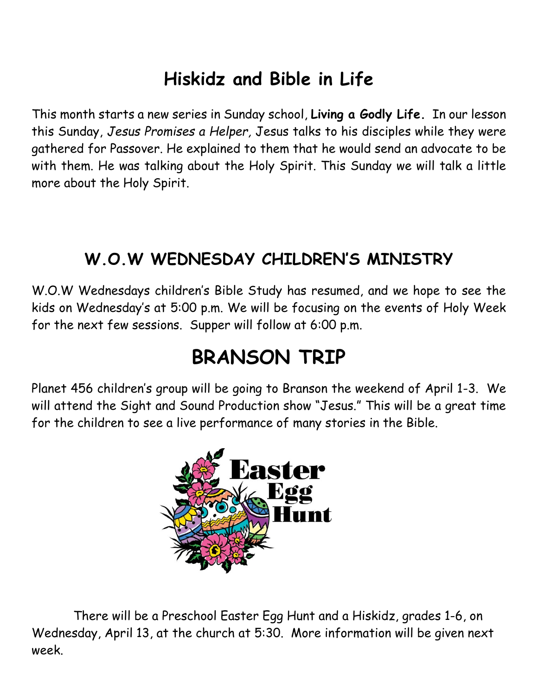# **Hiskidz and Bible in Life**

This month starts a new series in Sunday school, **Living a Godly Life.** In our lesson this Sunday, *Jesus Promises a Helper,* Jesus talks to his disciples while they were gathered for Passover. He explained to them that he would send an advocate to be with them. He was talking about the Holy Spirit. This Sunday we will talk a little more about the Holy Spirit.

# **W.O.W WEDNESDAY CHILDREN'S MINISTRY**

W.O.W Wednesdays children's Bible Study has resumed, and we hope to see the kids on Wednesday's at 5:00 p.m. We will be focusing on the events of Holy Week for the next few sessions. Supper will follow at 6:00 p.m.

# **BRANSON TRIP**

Planet 456 children's group will be going to Branson the weekend of April 1-3. We will attend the Sight and Sound Production show "Jesus." This will be a great time for the children to see a live performance of many stories in the Bible.



There will be a Preschool Easter Egg Hunt and a Hiskidz, grades 1-6, on Wednesday, April 13, at the church at 5:30. More information will be given next week.